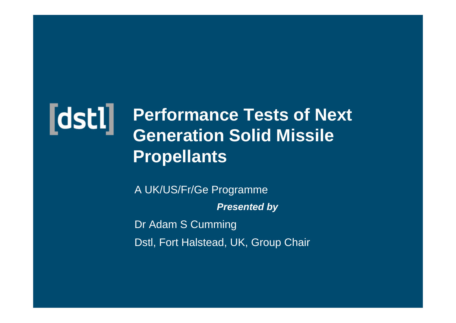

#### **Performance Tests of Next Generation Solid Missile Propellants**

A UK/US/Fr/Ge Programme *Presented by* Dr Adam S Cumming Dstl, Fort Halstead, UK, Group Chair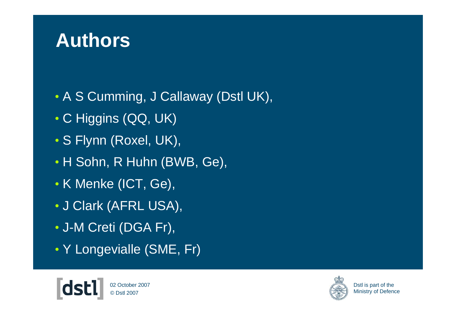#### **Authors**

- A S Cumming, J Callaway (Dstl UK),
- C Higgins (QQ, UK)
- S Flynn (Roxel, UK),
- H Sohn, R Huhn (BWB, Ge),
- K Menke (ICT, Ge),
- J Clark (AFRL USA),
- J-M Creti (DGA Fr),
- Y Longevialle (SME, Fr)



© Dstl 200702 October 2007

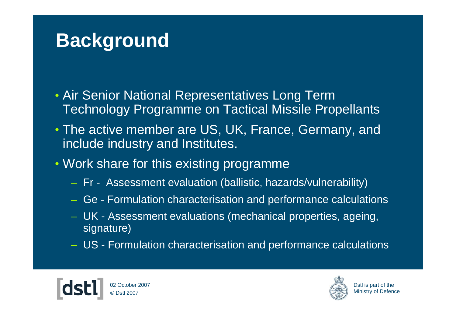### **Background**

- Air Senior National Representatives Long Term Technology Programme on Tactical Missile Propellants
- The active member are US, UK, France, Germany, and include industry and Institutes.
- Work share for this existing programme
	- Fr Assessment evaluation (ballistic, hazards/vulnerability)
	- Ge Formulation characterisation and performance calculations
	- UK Assessment evaluations (mechanical properties, ageing, signature)
	- US Formulation characterisation and performance calculations



© Dstl 200702 October 2007

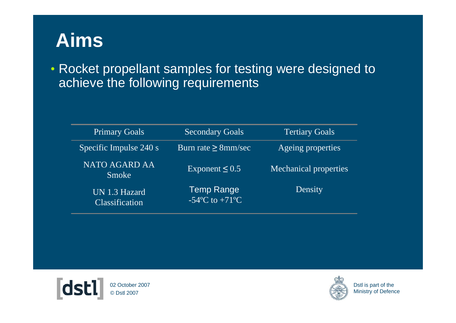#### **Aims**

• Rocket propellant samples for testing were designed to achieve the following requirements

| <b>Primary Goals</b>            | <b>Secondary Goals</b>             | Tertiary Goals               |
|---------------------------------|------------------------------------|------------------------------|
| Specific Impulse 240 s          | Burn rate $\geq$ 8mm/sec           | Ageing properties            |
| <b>NATO AGARD AA</b><br>Smoke   | Exponent $\leq 0.5$                | <b>Mechanical properties</b> |
| UN 1.3 Hazard<br>Classification | Temp Range<br>$-54$ °C to $+71$ °C | Density                      |



© Dstl 200702 October 2007

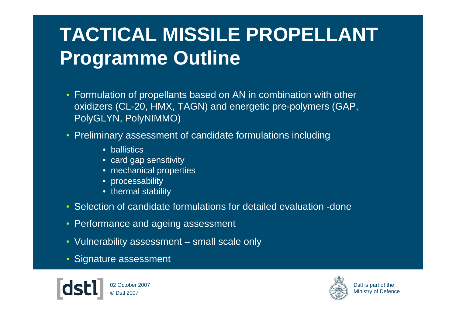# **TACTICAL MISSILE PROPELLANT Programme Outline**

- Formulation of propellants based on AN in combination with other oxidizers (CL-20, HMX, TAGN) and energetic pre-polymers (GAP, PolyGLYN, PolyNIMMO)
- Preliminary assessment of candidate formulations including
	- ballistics
	- card gap sensitivity
	- mechanical properties
	- processability
	- thermal stability
- Selection of candidate formulations for detailed evaluation -done
- Performance and ageing assessment
- Vulnerability assessment small scale only
- Signature assessment



© Dstl 200702 October 2007

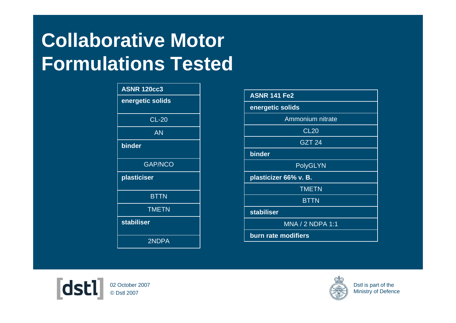# **Collaborative Motor Formulations Tested**

| <b>ASNR 120cc3</b> |  |
|--------------------|--|
| energetic solids   |  |
|                    |  |
| <b>CL-20</b>       |  |
| AN                 |  |
| binder             |  |
| <b>GAP/NCO</b>     |  |
| plasticiser        |  |
| <b>BTTN</b>        |  |
| <b>TMETN</b>       |  |
| <b>stabiliser</b>  |  |
| 2NDPA              |  |

| <b>ASNR 141 Fe2</b>   |  |  |
|-----------------------|--|--|
| energetic solids      |  |  |
| Ammonium nitrate      |  |  |
| <b>CL20</b>           |  |  |
| <b>GZT 24</b>         |  |  |
| binder                |  |  |
| <b>PolyGLYN</b>       |  |  |
| plasticizer 66% v. B. |  |  |
| <b>TMETN</b>          |  |  |
| <b>BTTN</b>           |  |  |
| <b>stabiliser</b>     |  |  |
| MNA / 2 NDPA 1:1      |  |  |
| burn rate modifiers   |  |  |



© Dstl 200702 October 2007

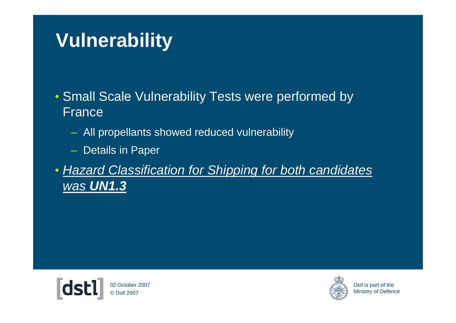## **Vulnerability**

- Small Scale Vulnerability Tests were performed by France
	- All propellants showed reduced vulnerability
	- Details in Paper
- *Hazard Classification for Shipping for both candidates was UN1.3*

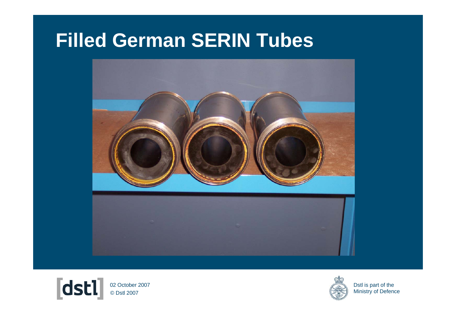#### **Filled German SERIN Tubes**





© Dstl 2007 02 October 2007

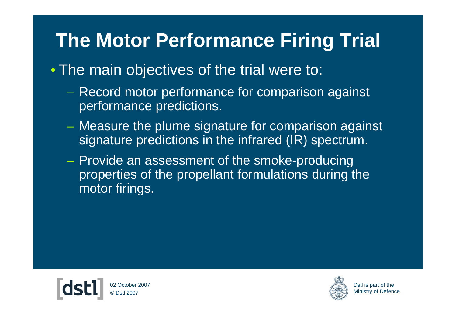## **The Motor Performance Firing Trial**

- The main objectives of the trial were to:
	- – Record motor performance for comparison against performance predictions.
	- Measure the plume signature for comparison against signature predictions in the infrared (IR) spectrum.
	- $\mathcal{L}_{\mathcal{A}}$  , and the set of the set of the set of the set of the set of the set of the set of the set of the set of the set of the set of the set of the set of the set of the set of the set of the set of the set of th - Provide an assessment of the smoke-producing properties of the propellant formulations during the motor firings.



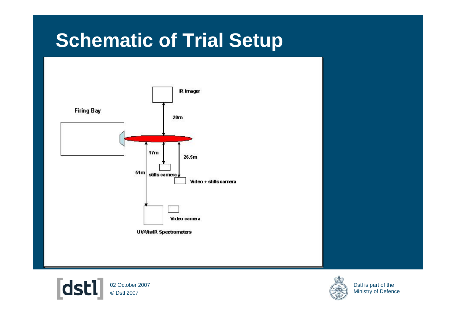#### **Schematic of Trial Setup**





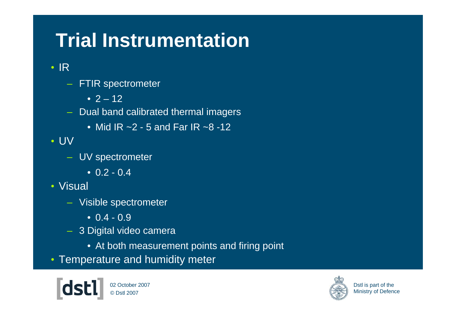# **Trial Instrumentation**

• IR

- FTIR spectrometer
	- 2 12
- Dual band calibrated thermal imagers
	- Mid IR ~2 5 and Far IR ~8 -12

• UV

- UV spectrometer
	- $\bullet$  0.2 0.4
- Visual
	- Visible spectrometer
		- 0.4 0.9
	- 3 Digital video camera
		- At both measurement points and firing point
- Temperature and humidity meter

© Dstl 200702 October 2007

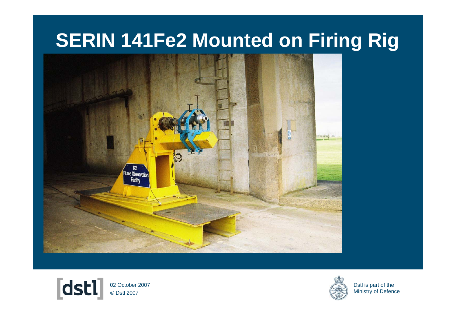#### **SERIN 141Fe2 Mounted on Firing Rig**





© Dstl 2007 02 October 2007

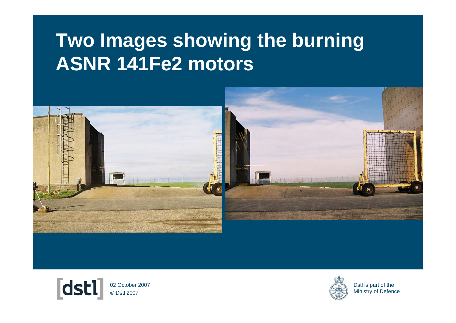#### **Two Images showing the burning ASNR 141Fe2 motors**





© Dstl 2007 02 October 2007

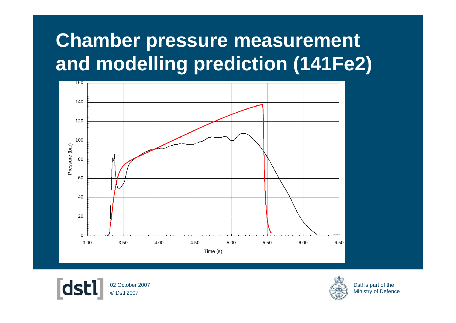# **Chamber pressure measurement and modelling prediction (141Fe2)**





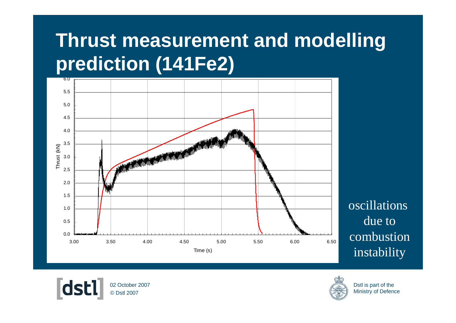## **Thrust measurement and modelling prediction (141Fe2)**



oscillations due to combustioninstability



© Dstl 200702 October 2007

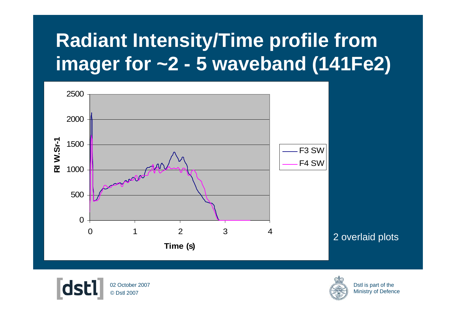# **Radiant Intensity/Time profile from imager for ~2 - 5 waveband (141Fe2)**



2 overlaid plots



© Dstl 200702 October 2007

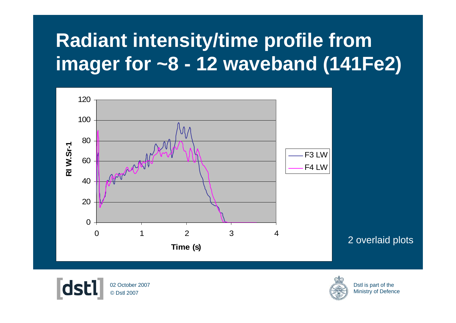# **Radiant intensity/time profile from imager for ~8 - 12 waveband (141Fe2)**



2 overlaid plots



© Dstl 200702 October 2007

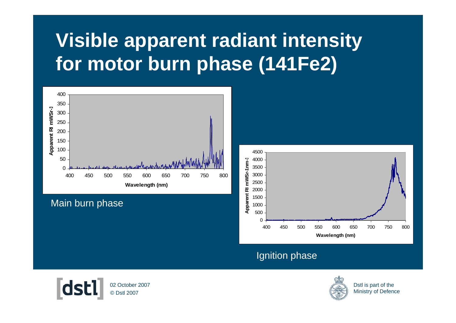# **Visible apparent radiant intensity for motor burn phase (141Fe2)**



#### Main burn phase



#### Ignition phase



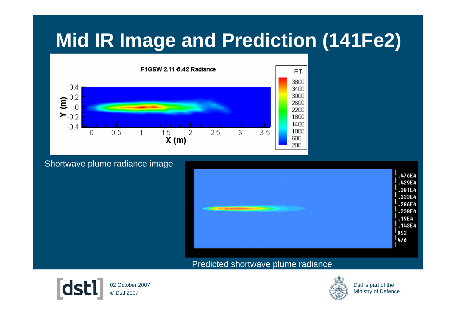### **Mid IR Image and Prediction (141Fe2)**



#### Shortwave plume radiance image



#### Predicted shortwave plume radiance



© Dstl 200702 October 2007

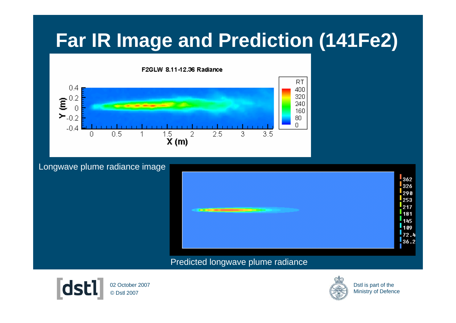### **Far IR Image and Prediction (141Fe2)**



Longwave plume radiance image



#### Predicted longwave plume radiance



© Dstl 200702 October 2007

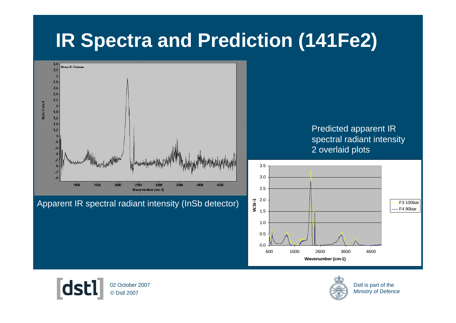#### **IR Spectra and Prediction (141Fe2)**



Apparent IR spectral radiant intensity (InSb detector)

Predicted apparent IR spectral radiant intensity 2 overlaid plots





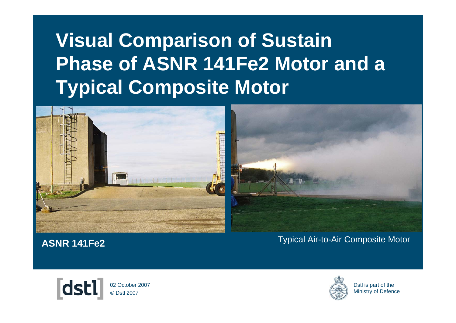# **Visual Comparison of Sustain Phase of ASNR 141Fe2 Motor and a Typical Composite Motor**



**ASNR 141Fe2**

Typical Air-to-Air Composite Motor



© Dstl 200702 October 2007

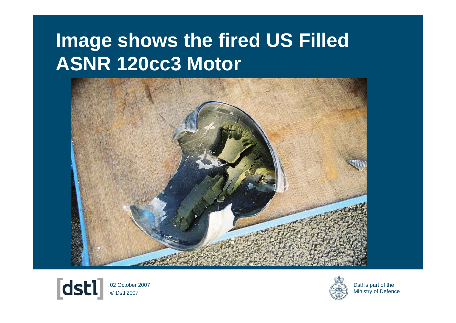#### **Image shows the fired US Filled ASNR 120cc3 Motor**





© Dstl 2007 02 October 2007

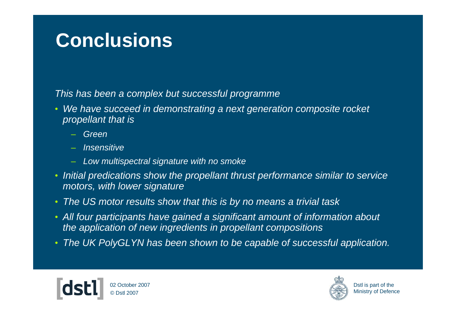#### **Conclusions**

*This has been a complex but successful programme*

- • *We have succeed in demonstrating a next generation composite rocket propellant that is* 
	- *Green*
	- *Insensitive*
	- *Low multispectral signature with no smoke*
- • *Initial predications show the propellant thrust performance similar to service motors, with lower signature*
- •*The US motor results show that this is by no means a trivial task*
- *All four participants have gained a significant amount of information about the application of new ingredients in propellant compositions*
- *The UK PolyGLYN has been shown to be capable of successful application.*



© Dstl 200702 October 2007